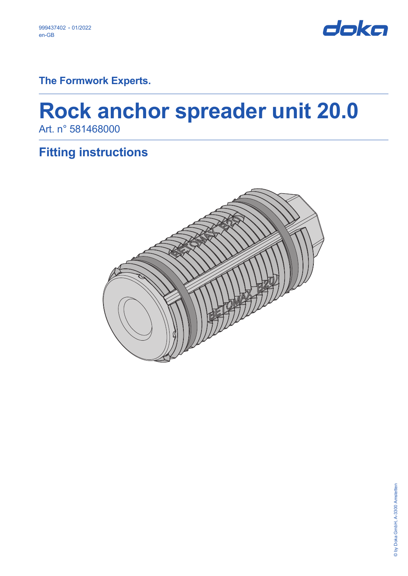

**The Formwork Experts.**

# **Rock anchor spreader unit 20.0** Art. n° 581468000

# **Fitting instructions**

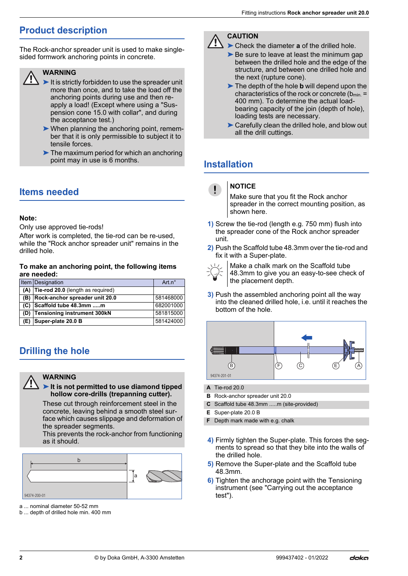### **Product description**

The Rock-anchor spreader unit is used to make singlesided formwork anchoring points in concrete.

#### **WARNING**

- $\blacktriangleright$  It is strictly forbidden to use the spreader unit more than once, and to take the load off the anchoring points during use and then reapply a load! (Except where using a "Suspension cone 15.0 with collar", and during the acceptance test.)
- ➤When planning the anchoring point, remember that it is only permissible to subject it to tensile forces.
- ➤The maximum period for which an anchoring point may in use is 6 months.

### **Items needed**

#### **Note:**

Only use approved tie-rods!

After work is completed, the tie-rod can be re-used, while the "Rock anchor spreader unit" remains in the drilled hole.

#### **To make an anchoring point, the following items are needed:**

|  | Item Designation                        | Art $n^{\circ}$ |
|--|-----------------------------------------|-----------------|
|  | $(A)$ Tie-rod 20.0 (length as required) |                 |
|  | (B) Rock-anchor spreader unit 20.0      | 581468000       |
|  | $(C)$ Scaffold tube 48.3mm m            | 682001000       |
|  | (D) Tensioning instrument 300kN         | 581815000       |
|  | (E) Super-plate 20.0 B                  | 581424000       |

### **Drilling the hole**

#### **WARNING**

#### ➤**It is not permitted to use diamond tipped hollow core-drills (trepanning cutter).**

These cut through reinforcement steel in the concrete, leaving behind a smooth steel surface which causes slippage and deformation of the spreader segments.

This prevents the rock-anchor from functioning as it should.



94374-200-01

a ... nominal diameter 50-52 mm

b ... depth of drilled hole min. 400 mm



#### ➤Check the diameter **a** of the drilled hole.

- ► Be sure to leave at least the minimum gap between the drilled hole and the edge of the structure, and between one drilled hole and the next (rupture cone).
- ➤The depth of the hole **b** will depend upon the characteristics of the rock or concrete ( $b_{min}$  = 400 mm). To determine the actual loadbearing capacity of the join (depth of hole), loading tests are necessary.
- ▶ Carefully clean the drilled hole, and blow out all the drill cuttings.

### **Installation**

| <b>NOTICE</b> |
|---------------|
|---------------|

Make sure that you fit the Rock anchor spreader in the correct mounting position, as shown here.

- **1)** Screw the tie-rod (length e.g. 750 mm) flush into the spreader cone of the Rock anchor spreader unit.
- **2)** Push the Scaffold tube 48.3mm over the tie-rod and fix it with a Super-plate.



Make a chalk mark on the Scaffold tube 48.3mm to give you an easy-to-see check of the placement depth.

**3)** Push the assembled anchoring point all the way into the cleaned drilled hole, i.e. until it reaches the bottom of the hole.



- **A** Tie-rod 20.0
- **B** Rock-anchor spreader unit 20.0
- **C** Scaffold tube 48.3mm .....m (site-provided)
- **E** Super-plate 20.0 B
- **F** Depth mark made with e.g. chalk
- **4)** Firmly tighten the Super-plate. This forces the segments to spread so that they bite into the walls of the drilled hole.
- **5)** Remove the Super-plate and the Scaffold tube 48.3mm.
- **6)** Tighten the anchorage point with the Tensioning instrument (see "Carrying out the acceptance test").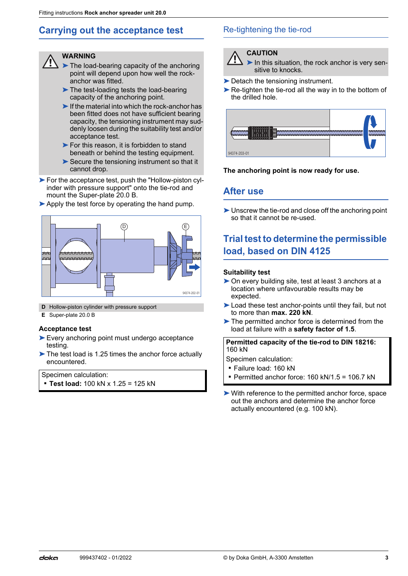### **Carrying out the acceptance test**

#### **WARNING**

- ➤The load-bearing capacity of the anchoring point will depend upon how well the rockanchor was fitted.
- ➤The test-loading tests the load-bearing capacity of the anchoring point.
- $\blacktriangleright$  If the material into which the rock-anchor has been fitted does not have sufficient bearing capacity, the tensioning instrument may suddenly loosen during the suitability test and/or acceptance test.
- ▶ For this reason, it is forbidden to stand beneath or behind the testing equipment.
- ➤Secure the tensioning instrument so that it cannot drop.
- ► For the acceptance test, push the "Hollow-piston cylinder with pressure support" onto the tie-rod and mount the Super-plate 20.0 B.
- ▶ Apply the test force by operating the hand pump.



- **D** Hollow-piston cylinder with pressure support
- **E** Super-plate 20.0 B

#### **Acceptance test**

- ➤Every anchoring point must undergo acceptance testing.
- ➤The test load is 1.25 times the anchor force actually encountered.

Specimen calculation:

▪ **Test load:** 100 kN x 1.25 = 125 kN

#### Re-tightening the tie-rod



▶ In this situation, the rock anchor is very sensitive to knocks.

- ► Detach the tensioning instrument.
- ► Re-tighten the tie-rod all the way in to the bottom of the drilled hole.



#### **The anchoring point is now ready for use.**

#### **After use**

► Unscrew the tie-rod and close off the anchoring point so that it cannot be re-used.

### **Trial test to determine the permissible load, based on DIN 4125**

#### **Suitability test**

- ➤On every building site, test at least 3 anchors at a location where unfavourable results may be expected.
- ► Load these test anchor-points until they fail, but not to more than **max. 220 kN**.
- ➤The permitted anchor force is determined from the load at failure with a **safety factor of 1.5**.

**Permitted capacity of the tie-rod to DIN 18216:** 160 kN

Specimen calculation:

- Failure load: 160 kN
- **Permitted anchor force: 160 kN/1.5 = 106.7 kN**
- ➤With reference to the permitted anchor force, space out the anchors and determine the anchor force actually encountered (e.g. 100 kN).